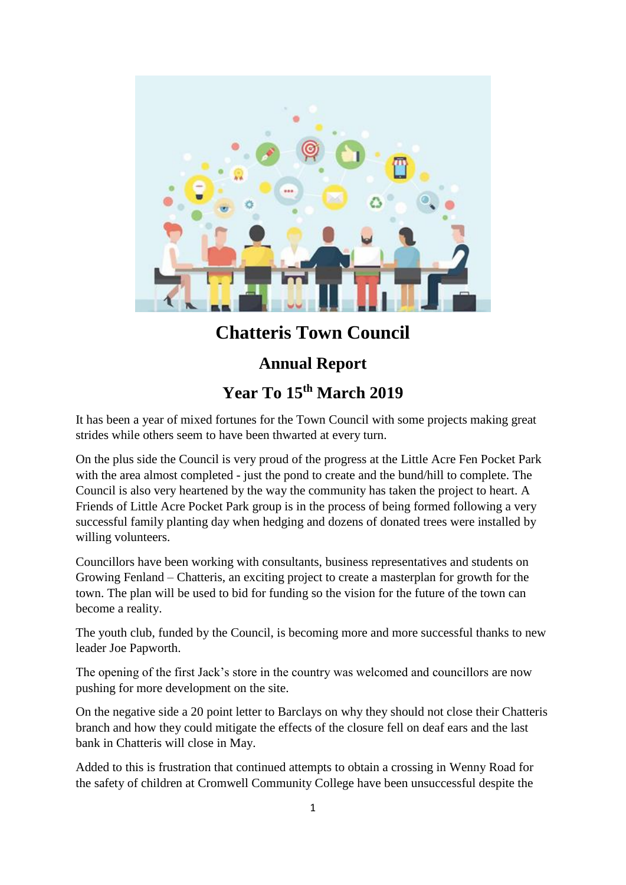

## **Chatteris Town Council**

## **Annual Report**

## **Year To 15th March 2019**

It has been a year of mixed fortunes for the Town Council with some projects making great strides while others seem to have been thwarted at every turn.

On the plus side the Council is very proud of the progress at the Little Acre Fen Pocket Park with the area almost completed - just the pond to create and the bund/hill to complete. The Council is also very heartened by the way the community has taken the project to heart. A Friends of Little Acre Pocket Park group is in the process of being formed following a very successful family planting day when hedging and dozens of donated trees were installed by willing volunteers.

Councillors have been working with consultants, business representatives and students on Growing Fenland – Chatteris, an exciting project to create a masterplan for growth for the town. The plan will be used to bid for funding so the vision for the future of the town can become a reality.

The youth club, funded by the Council, is becoming more and more successful thanks to new leader Joe Papworth.

The opening of the first Jack's store in the country was welcomed and councillors are now pushing for more development on the site.

On the negative side a 20 point letter to Barclays on why they should not close their Chatteris branch and how they could mitigate the effects of the closure fell on deaf ears and the last bank in Chatteris will close in May.

Added to this is frustration that continued attempts to obtain a crossing in Wenny Road for the safety of children at Cromwell Community College have been unsuccessful despite the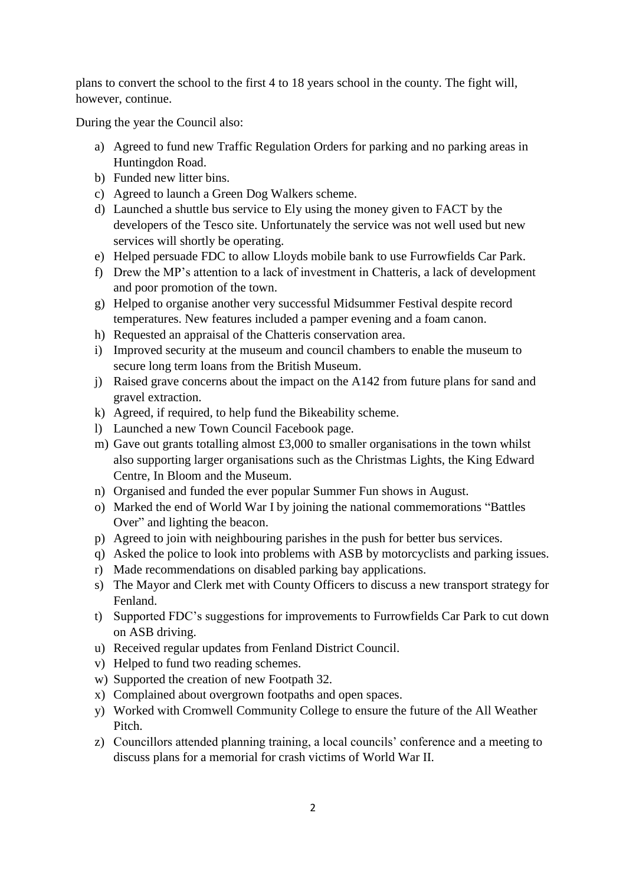plans to convert the school to the first 4 to 18 years school in the county. The fight will, however, continue.

During the year the Council also:

- a) Agreed to fund new Traffic Regulation Orders for parking and no parking areas in Huntingdon Road.
- b) Funded new litter bins.
- c) Agreed to launch a Green Dog Walkers scheme.
- d) Launched a shuttle bus service to Ely using the money given to FACT by the developers of the Tesco site. Unfortunately the service was not well used but new services will shortly be operating.
- e) Helped persuade FDC to allow Lloyds mobile bank to use Furrowfields Car Park.
- f) Drew the MP's attention to a lack of investment in Chatteris, a lack of development and poor promotion of the town.
- g) Helped to organise another very successful Midsummer Festival despite record temperatures. New features included a pamper evening and a foam canon.
- h) Requested an appraisal of the Chatteris conservation area.
- i) Improved security at the museum and council chambers to enable the museum to secure long term loans from the British Museum.
- j) Raised grave concerns about the impact on the A142 from future plans for sand and gravel extraction.
- k) Agreed, if required, to help fund the Bikeability scheme.
- l) Launched a new Town Council Facebook page.
- m) Gave out grants totalling almost £3,000 to smaller organisations in the town whilst also supporting larger organisations such as the Christmas Lights, the King Edward Centre, In Bloom and the Museum.
- n) Organised and funded the ever popular Summer Fun shows in August.
- o) Marked the end of World War I by joining the national commemorations "Battles Over" and lighting the beacon.
- p) Agreed to join with neighbouring parishes in the push for better bus services.
- q) Asked the police to look into problems with ASB by motorcyclists and parking issues.
- r) Made recommendations on disabled parking bay applications.
- s) The Mayor and Clerk met with County Officers to discuss a new transport strategy for Fenland.
- t) Supported FDC's suggestions for improvements to Furrowfields Car Park to cut down on ASB driving.
- u) Received regular updates from Fenland District Council.
- v) Helped to fund two reading schemes.
- w) Supported the creation of new Footpath 32.
- x) Complained about overgrown footpaths and open spaces.
- y) Worked with Cromwell Community College to ensure the future of the All Weather Pitch.
- z) Councillors attended planning training, a local councils' conference and a meeting to discuss plans for a memorial for crash victims of World War II.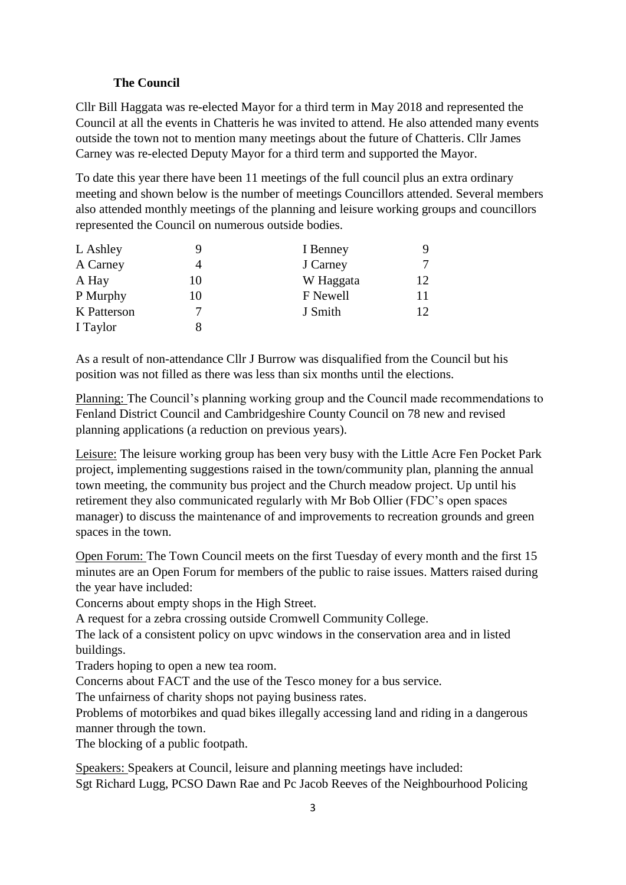## **The Council**

Cllr Bill Haggata was re-elected Mayor for a third term in May 2018 and represented the Council at all the events in Chatteris he was invited to attend. He also attended many events outside the town not to mention many meetings about the future of Chatteris. Cllr James Carney was re-elected Deputy Mayor for a third term and supported the Mayor.

To date this year there have been 11 meetings of the full council plus an extra ordinary meeting and shown below is the number of meetings Councillors attended. Several members also attended monthly meetings of the planning and leisure working groups and councillors represented the Council on numerous outside bodies.

| L Ashley    |    | I Benney  |    |
|-------------|----|-----------|----|
| A Carney    |    | J Carney  |    |
| A Hay       | 10 | W Haggata | 12 |
| P Murphy    | 10 | F Newell  | 11 |
| K Patterson |    | J Smith   | 12 |
| I Taylor    |    |           |    |

As a result of non-attendance Cllr J Burrow was disqualified from the Council but his position was not filled as there was less than six months until the elections.

Planning: The Council's planning working group and the Council made recommendations to Fenland District Council and Cambridgeshire County Council on 78 new and revised planning applications (a reduction on previous years).

Leisure: The leisure working group has been very busy with the Little Acre Fen Pocket Park project, implementing suggestions raised in the town/community plan, planning the annual town meeting, the community bus project and the Church meadow project. Up until his retirement they also communicated regularly with Mr Bob Ollier (FDC's open spaces manager) to discuss the maintenance of and improvements to recreation grounds and green spaces in the town.

Open Forum: The Town Council meets on the first Tuesday of every month and the first 15 minutes are an Open Forum for members of the public to raise issues. Matters raised during the year have included:

Concerns about empty shops in the High Street.

A request for a zebra crossing outside Cromwell Community College.

The lack of a consistent policy on upvc windows in the conservation area and in listed buildings.

Traders hoping to open a new tea room.

Concerns about FACT and the use of the Tesco money for a bus service.

The unfairness of charity shops not paying business rates.

Problems of motorbikes and quad bikes illegally accessing land and riding in a dangerous manner through the town.

The blocking of a public footpath.

Speakers: Speakers at Council, leisure and planning meetings have included: Sgt Richard Lugg, PCSO Dawn Rae and Pc Jacob Reeves of the Neighbourhood Policing